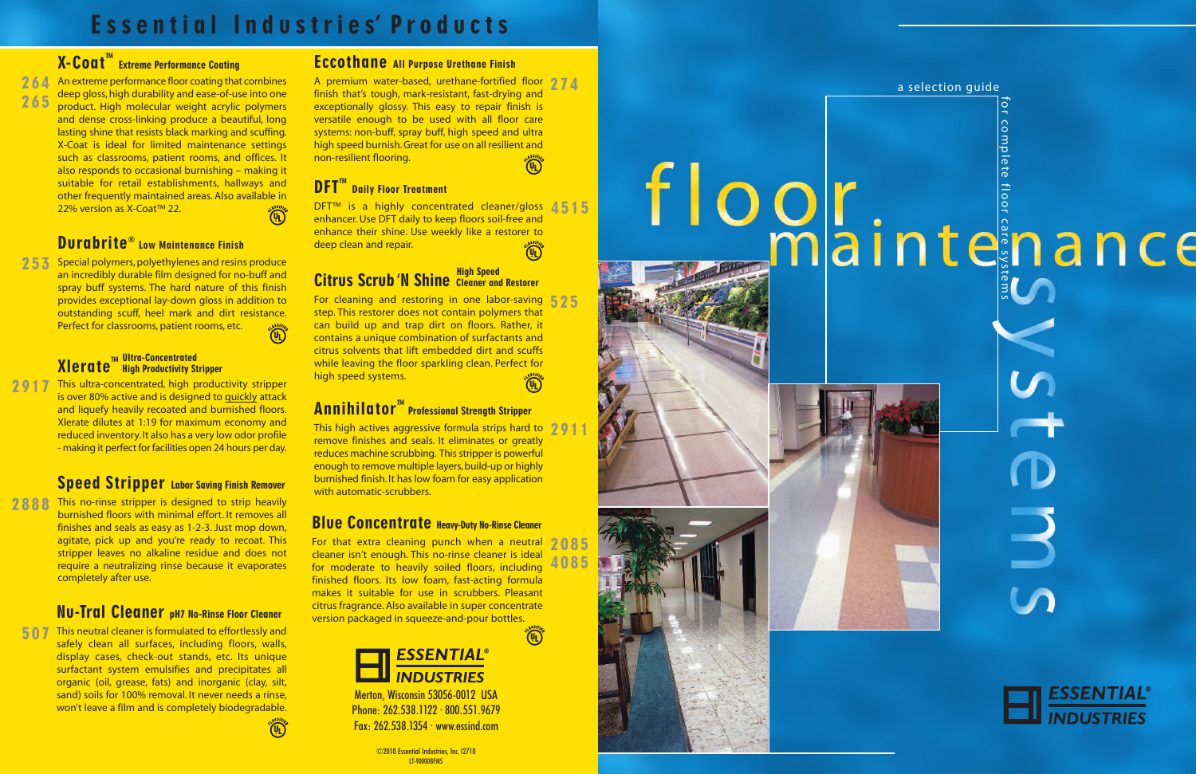# Essential Industries' Products

## $\mathbf{X}\text{-}\mathbf{C}\,\mathbf{O}\,\mathbf{a}\,\mathbf{t}^{\mathsf{\tiny{TM}}}$  Extreme Performance Coating







Merton, Wisconsin 53056-0012 USA , Phone: 262.538.1122 · 800.551.9679 · . Fax: 262.538.1354 · www.essind.com . · . .

> ©2010 Essential Industries, Inc. 12710 , . LT-90000BFMS

264 An extreme performance floor coating that combines deep gloss, high durability and ease-of-use into one product. High molecular weight acrylic polymers and dense cross-linking produce a beautiful, long lasting shine that resists black marking and scuffing. X-Coat is ideal for limited maintenance settings such as classrooms, patient rooms, and offices. It also responds to occasional burnishing – making it suitable for retail establishments, hallways and other frequently maintained areas. Also available in 22% version as X-Coat™ 22. 2 6 5

### Durabrite<sup>®</sup> Low Maintenance Finish

253 Special polymers, polyethylenes and resins produce an incredibly durable film designed for no-buff and spray buff systems. The hard nature of this finish provides exceptional lay-down gloss in addition to outstanding scuff, heel mark and dirt resistance. Perfect for classrooms, patient rooms, etc.

#### **XIerate™ High Productivity Stripper** <u>Ultra-Concentrated</u>

2917 This ultra-concentrated, high productivity stripper is over 80% active and is designed to <u>quickly</u> attack and liquefy heavily recoated and burnished floors. Xlerate dilutes at 1:19 for maximum economy and reduced inventory. It also has a very low odor profile - making it perfect for facilities open 24 hours per day.

### Speed Stripper Labor Saving Finish Remover

2888 This no-rinse stripper is designed to strip heavily burnished floors with minimal effort. It removes all finishes and seals as easy as 1-2-3. Just mop down, agitate, pick up and you're ready to recoat. This stripper leaves no alkaline residue and does not require a neutralizing rinse because it evaporates completely after use.

### Nu-Tral Cleaner pH7 No-Rinse Floor Cleaner

507 This neutral cleaner is formulated to effortlessly and safely clean all surfaces, including floors, walls, display cases, check-out stands, etc. Its unique surfactant system emulsifies and precipitates all organic (oil, grease, fats) and inorganic (clay, silt, sand) soils for 100% removal. It never needs a rinse, won't leave a film and is completely biodegradable.

### Eccothane All Purpose Urethane Finish

A premium water-based, urethane-fortified floor 274 finish that's tough, mark-resistant, fast-drying and exceptionally glossy. This easy to repair finish is versatile enough to be used with all floor care systems: non-buff, spray buff, high speed and ultra high speed burnish. Great for use on all resilient and non-resilient flooring.

# **DFT<sup>™</sup> Daily Floor Treatment**

DFT™ is a highly concentrated cleaner/gloss 4515 enhancer. Use DFT daily to keep floors soil-free and enhance their shine. Use weekly like a restorer to deep clean and repair.

#### Citrus Scrub 'N Shine Cleaner and Restorer **High Speed**

For cleaning and restoring in one labor-saving  $\frac{5}{2}$   $\frac{5}{5}$ step. This restorer does not contain polymers that can build up and trap dirt on floors. Rather, it contains a unique combination of surfactants and citrus solvents that lift embedded dirt and scuffs while leaving the floor sparkling clean. Perfect for high speed systems.

# $\mathbf{Annihilaton}^{\mathbb{M}}$  Professional Strength Stripper

This high actives aggressive formula strips hard to  $291$ remove finishes and seals. It eliminates or greatly reduces machine scrubbing. This stripper is powerful enough to remove multiple layers, build-up or highly burnished finish. It has low foam for easy application with automatic-scrubbers.

### Blue Concentrate Heavy-Duty No-Rinse Cleaner

For that extra cleaning punch when a neutral cleaner isn't enough. This no-rinse cleaner is ideal for moderate to heavily soiled floors, including finished floors. Its low foam, fast-acting formula makes it suitable for use in scrubbers. Pleasant citrus fragrance. Also available in super concentrate version packaged in squeeze-and-pour bottles.



1

# ESSENTIAL<sup>®</sup><br>INDUSTRIES

2 0 8 5

4 0 8 5